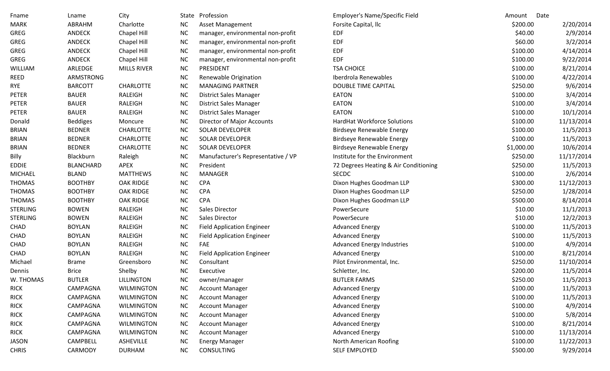| Fname           | Lname            | City               |           | State Profession                   | Employer's Name/Specific Field        | Date<br>Amount |            |
|-----------------|------------------|--------------------|-----------|------------------------------------|---------------------------------------|----------------|------------|
| <b>MARK</b>     | ABRAHM           | Charlotte          | <b>NC</b> | Asset Management                   | Forsite Capital, Ilc                  | \$200.00       | 2/20/2014  |
| <b>GREG</b>     | <b>ANDECK</b>    | Chapel Hill        | <b>NC</b> | manager, environmental non-profit  | EDF                                   | \$40.00        | 2/9/2014   |
| <b>GREG</b>     | <b>ANDECK</b>    | Chapel Hill        | <b>NC</b> | manager, environmental non-profit  | <b>EDF</b>                            | \$60.00        | 3/2/2014   |
| GREG            | ANDECK           | Chapel Hill        | <b>NC</b> | manager, environmental non-profit  | <b>EDF</b>                            | \$100.00       | 4/14/2014  |
| GREG            | <b>ANDECK</b>    | Chapel Hill        | <b>NC</b> | manager, environmental non-profit  | <b>EDF</b>                            | \$100.00       | 9/22/2014  |
| WILLIAM         | ARLEDGE          | <b>MILLS RIVER</b> | <b>NC</b> | PRESIDENT                          | <b>TSA CHOICE</b>                     | \$100.00       | 8/21/2014  |
| REED            | ARMSTRONG        |                    | <b>NC</b> | Renewable Origination              | Iberdrola Renewables                  | \$100.00       | 4/22/2014  |
| <b>RYE</b>      | <b>BARCOTT</b>   | <b>CHARLOTTE</b>   | <b>NC</b> | <b>MANAGING PARTNER</b>            | <b>DOUBLE TIME CAPITAL</b>            | \$250.00       | 9/6/2014   |
| PETER           | <b>BAUER</b>     | RALEIGH            | <b>NC</b> | <b>District Sales Manager</b>      | EATON                                 | \$100.00       | 3/4/2014   |
| <b>PETER</b>    | <b>BAUER</b>     | RALEIGH            | <b>NC</b> | <b>District Sales Manager</b>      | <b>EATON</b>                          | \$100.00       | 3/4/2014   |
| PETER           | <b>BAUER</b>     | RALEIGH            | <b>NC</b> | <b>District Sales Manager</b>      | EATON                                 | \$100.00       | 10/1/2014  |
| Donald          | <b>Beddiges</b>  | Moncure            | <b>NC</b> | Director of Major Accounts         | <b>HardHat Workforce Solutions</b>    | \$100.00       | 11/13/2014 |
| <b>BRIAN</b>    | <b>BEDNER</b>    | <b>CHARLOTTE</b>   | <b>NC</b> | SOLAR DEVELOPER                    | <b>Birdseye Renewable Energy</b>      | \$100.00       | 11/5/2013  |
| <b>BRIAN</b>    | <b>BEDNER</b>    | <b>CHARLOTTE</b>   | <b>NC</b> | <b>SOLAR DEVELOPER</b>             | <b>Birdseye Renewable Energy</b>      | \$100.00       | 11/5/2013  |
| <b>BRIAN</b>    | <b>BEDNER</b>    | <b>CHARLOTTE</b>   | <b>NC</b> | SOLAR DEVELOPER                    | <b>Birdseye Renewable Energy</b>      | \$1,000.00     | 10/6/2014  |
| Billy           | Blackburn        | Raleigh            | <b>NC</b> | Manufacturer's Representative / VP | Institute for the Environment         | \$250.00       | 11/17/2014 |
| <b>EDDIE</b>    | <b>BLANCHARD</b> | <b>APEX</b>        | <b>NC</b> | President                          | 72 Degrees Heating & Air Conditioning | \$250.00       | 11/5/2013  |
| <b>MICHAEL</b>  | <b>BLAND</b>     | <b>MATTHEWS</b>    | <b>NC</b> | <b>MANAGER</b>                     | <b>SECDC</b>                          | \$100.00       | 2/6/2014   |
| <b>THOMAS</b>   | <b>BOOTHBY</b>   | OAK RIDGE          | <b>NC</b> | <b>CPA</b>                         | Dixon Hughes Goodman LLP              | \$300.00       | 11/12/2013 |
| <b>THOMAS</b>   | <b>BOOTHBY</b>   | OAK RIDGE          | <b>NC</b> | <b>CPA</b>                         | Dixon Hughes Goodman LLP              | \$250.00       | 1/28/2014  |
| <b>THOMAS</b>   | <b>BOOTHBY</b>   | OAK RIDGE          | <b>NC</b> | <b>CPA</b>                         | Dixon Hughes Goodman LLP              | \$500.00       | 8/14/2014  |
| <b>STERLING</b> | <b>BOWEN</b>     | RALEIGH            | <b>NC</b> | <b>Sales Director</b>              | PowerSecure                           | \$10.00        | 11/1/2013  |
| <b>STERLING</b> | <b>BOWEN</b>     | RALEIGH            | <b>NC</b> | <b>Sales Director</b>              | PowerSecure                           | \$10.00        | 12/2/2013  |
| CHAD            | <b>BOYLAN</b>    | RALEIGH            | <b>NC</b> | <b>Field Application Engineer</b>  | <b>Advanced Energy</b>                | \$100.00       | 11/5/2013  |
| CHAD            | <b>BOYLAN</b>    | RALEIGH            | <b>NC</b> | <b>Field Application Engineer</b>  | <b>Advanced Energy</b>                | \$100.00       | 11/5/2013  |
| CHAD            | <b>BOYLAN</b>    | RALEIGH            | <b>NC</b> | <b>FAE</b>                         | <b>Advanced Energy Industries</b>     | \$100.00       | 4/9/2014   |
| CHAD            | <b>BOYLAN</b>    | RALEIGH            | <b>NC</b> | <b>Field Application Engineer</b>  | <b>Advanced Energy</b>                | \$100.00       | 8/21/2014  |
| Michael         | <b>Brame</b>     | Greensboro         | <b>NC</b> | Consultant                         | Pilot Environmental, Inc.             | \$250.00       | 11/10/2014 |
| Dennis          | <b>Brice</b>     | Shelby             | <b>NC</b> | Executive                          | Schletter, Inc.                       | \$200.00       | 11/5/2014  |
| W. THOMAS       | <b>BUTLER</b>    | <b>LILLINGTON</b>  | NC        | owner/manager                      | <b>BUTLER FARMS</b>                   | \$250.00       | 11/5/2013  |
| <b>RICK</b>     | CAMPAGNA         | <b>WILMINGTON</b>  | <b>NC</b> | <b>Account Manager</b>             | <b>Advanced Energy</b>                | \$100.00       | 11/5/2013  |
| <b>RICK</b>     | CAMPAGNA         | <b>WILMINGTON</b>  | <b>NC</b> | <b>Account Manager</b>             | <b>Advanced Energy</b>                | \$100.00       | 11/5/2013  |
| <b>RICK</b>     | CAMPAGNA         | <b>WILMINGTON</b>  | <b>NC</b> | <b>Account Manager</b>             | <b>Advanced Energy</b>                | \$100.00       | 4/9/2014   |
| <b>RICK</b>     | CAMPAGNA         | <b>WILMINGTON</b>  | <b>NC</b> | <b>Account Manager</b>             | <b>Advanced Energy</b>                | \$100.00       | 5/8/2014   |
| <b>RICK</b>     | CAMPAGNA         | <b>WILMINGTON</b>  | <b>NC</b> | <b>Account Manager</b>             | <b>Advanced Energy</b>                | \$100.00       | 8/21/2014  |
| <b>RICK</b>     | CAMPAGNA         | <b>WILMINGTON</b>  | <b>NC</b> | <b>Account Manager</b>             | <b>Advanced Energy</b>                | \$100.00       | 11/13/2014 |
| JASON           | CAMPBELL         | ASHEVILLE          | <b>NC</b> | <b>Energy Manager</b>              | North American Roofing                | \$100.00       | 11/22/2013 |
| <b>CHRIS</b>    | CARMODY          | <b>DURHAM</b>      | <b>NC</b> | CONSULTING                         | SELF EMPLOYED                         | \$500.00       | 9/29/2014  |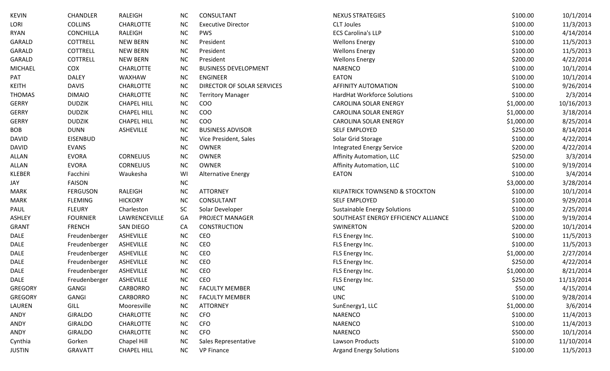| KEVIN          | <b>CHANDLER</b>  | RALEIGH            | <b>NC</b> | CONSULTANT                  | <b>NEXUS STRATEGIES</b>              | \$100.00   | 10/1/2014  |
|----------------|------------------|--------------------|-----------|-----------------------------|--------------------------------------|------------|------------|
| Lori           | <b>COLLINS</b>   | <b>CHARLOTTE</b>   | <b>NC</b> | <b>Executive Director</b>   | <b>CLT Joules</b>                    | \$100.00   | 11/3/2013  |
| <b>RYAN</b>    | <b>CONCHILLA</b> | RALEIGH            | <b>NC</b> | <b>PWS</b>                  | <b>ECS Carolina's LLP</b>            | \$100.00   | 4/14/2014  |
| GARALD         | <b>COTTRELL</b>  | <b>NEW BERN</b>    | <b>NC</b> | President                   | <b>Wellons Energy</b>                | \$100.00   | 11/5/2013  |
| GARALD         | <b>COTTRELL</b>  | <b>NEW BERN</b>    | <b>NC</b> | President                   | <b>Wellons Energy</b>                | \$100.00   | 11/5/2013  |
| GARALD         | COTTRELL         | <b>NEW BERN</b>    | <b>NC</b> | President                   | <b>Wellons Energy</b>                | \$200.00   | 4/22/2014  |
| MICHAEL        | COX              | <b>CHARLOTTE</b>   | <b>NC</b> | <b>BUSINESS DEVELOPMENT</b> | <b>NARENCO</b>                       | \$100.00   | 10/1/2014  |
| PAT            | <b>DALEY</b>     | WAXHAW             | <b>NC</b> | <b>ENGINEER</b>             | <b>EATON</b>                         | \$100.00   | 10/1/2014  |
| <b>KEITH</b>   | <b>DAVIS</b>     | <b>CHARLOTTE</b>   | <b>NC</b> | DIRECTOR OF SOLAR SERVICES  | <b>AFFINITY AUTOMATION</b>           | \$100.00   | 9/26/2014  |
| <b>THOMAS</b>  | <b>DIMAIO</b>    | <b>CHARLOTTE</b>   | <b>NC</b> | <b>Territory Manager</b>    | HardHat Workforce Solutions          | \$100.00   | 2/3/2014   |
| <b>GERRY</b>   | <b>DUDZIK</b>    | <b>CHAPEL HILL</b> | <b>NC</b> | COO                         | <b>CAROLINA SOLAR ENERGY</b>         | \$1,000.00 | 10/16/2013 |
| <b>GERRY</b>   | <b>DUDZIK</b>    | <b>CHAPEL HILL</b> | <b>NC</b> | COO                         | <b>CAROLINA SOLAR ENERGY</b>         | \$1,000.00 | 3/18/2014  |
| <b>GERRY</b>   | <b>DUDZIK</b>    | <b>CHAPEL HILL</b> | <b>NC</b> | COO                         | <b>CAROLINA SOLAR ENERGY</b>         | \$1,000.00 | 8/25/2014  |
| <b>BOB</b>     | <b>DUNN</b>      | ASHEVILLE          | <b>NC</b> | <b>BUSINESS ADVISOR</b>     | <b>SELF EMPLOYED</b>                 | \$250.00   | 8/14/2014  |
| <b>DAVID</b>   | <b>EISENBUD</b>  |                    | <b>NC</b> | Vice President, Sales       | Solar Grid Storage                   | \$100.00   | 4/22/2014  |
| <b>DAVID</b>   | <b>EVANS</b>     |                    | <b>NC</b> | <b>OWNER</b>                | <b>Integrated Energy Service</b>     | \$200.00   | 4/22/2014  |
| ALLAN          | <b>EVORA</b>     | <b>CORNELIUS</b>   | <b>NC</b> | <b>OWNER</b>                | Affinity Automation, LLC             | \$250.00   | 3/3/2014   |
| ALLAN          | <b>EVORA</b>     | <b>CORNELIUS</b>   | <b>NC</b> | <b>OWNER</b>                | Affinity Automation, LLC             | \$100.00   | 9/19/2014  |
| KLEBER         | Facchini         | Waukesha           | WI        | <b>Alternative Energy</b>   | <b>EATON</b>                         | \$100.00   | 3/4/2014   |
| JAY            | <b>FAISON</b>    |                    | <b>NC</b> |                             |                                      | \$3,000.00 | 3/28/2014  |
| <b>MARK</b>    | <b>FERGUSON</b>  | RALEIGH            | <b>NC</b> | <b>ATTORNEY</b>             | KILPATRICK TOWNSEND & STOCKTON       | \$100.00   | 10/1/2014  |
| <b>MARK</b>    | <b>FLEMING</b>   | <b>HICKORY</b>     | <b>NC</b> | <b>CONSULTANT</b>           | <b>SELF EMPLOYED</b>                 | \$100.00   | 9/29/2014  |
| PAUL           | <b>FLEURY</b>    | Charleston         | SC        | Solar Developer             | <b>Sustainable Energy Solutions</b>  | \$100.00   | 2/25/2014  |
| <b>ASHLEY</b>  | <b>FOURNIER</b>  | LAWRENCEVILLE      | GA        | PROJECT MANAGER             | SOUTHEAST ENERGY EFFICIENCY ALLIANCE | \$100.00   | 9/19/2014  |
| <b>GRANT</b>   | <b>FRENCH</b>    | <b>SAN DIEGO</b>   | CA        | <b>CONSTRUCTION</b>         | <b>SWINERTON</b>                     | \$200.00   | 10/1/2014  |
| DALE           | Freudenberger    | ASHEVILLE          | <b>NC</b> | CEO                         | FLS Energy Inc.                      | \$100.00   | 11/5/2013  |
| DALE           | Freudenberger    | ASHEVILLE          | <b>NC</b> | CEO                         | FLS Energy Inc.                      | \$100.00   | 11/5/2013  |
| DALE           | Freudenberger    | ASHEVILLE          | <b>NC</b> | CEO                         | FLS Energy Inc.                      | \$1,000.00 | 2/27/2014  |
| DALE           | Freudenberger    | ASHEVILLE          | <b>NC</b> | CEO                         | FLS Energy Inc.                      | \$250.00   | 4/22/2014  |
| DALE           | Freudenberger    | ASHEVILLE          | NC        | <b>CEO</b>                  | FLS Energy Inc.                      | \$1,000.00 | 8/21/2014  |
| DALE           | Freudenberger    | ASHEVILLE          | <b>NC</b> | <b>CEO</b>                  | FLS Energy Inc.                      | \$250.00   | 11/13/2014 |
| <b>GREGORY</b> | <b>GANGI</b>     | <b>CARBORRO</b>    | <b>NC</b> | <b>FACULTY MEMBER</b>       | <b>UNC</b>                           | \$50.00    | 4/15/2014  |
| <b>GREGORY</b> | <b>GANGI</b>     | <b>CARBORRO</b>    | <b>NC</b> | <b>FACULTY MEMBER</b>       | <b>UNC</b>                           | \$100.00   | 9/28/2014  |
| LAUREN         | GILL             | Mooresville        | NC        | <b>ATTORNEY</b>             | SunEnergy1, LLC                      | \$1,000.00 | 3/6/2014   |
| ANDY           | <b>GIRALDO</b>   | <b>CHARLOTTE</b>   | <b>NC</b> | <b>CFO</b>                  | <b>NARENCO</b>                       | \$100.00   | 11/4/2013  |
| ANDY           | <b>GIRALDO</b>   | <b>CHARLOTTE</b>   | <b>NC</b> | <b>CFO</b>                  | <b>NARENCO</b>                       | \$100.00   | 11/4/2013  |
| ANDY           | <b>GIRALDO</b>   | <b>CHARLOTTE</b>   | <b>NC</b> | <b>CFO</b>                  | <b>NARENCO</b>                       | \$500.00   | 10/1/2014  |
| Cynthia        | Gorken           | Chapel Hill        | <b>NC</b> | Sales Representative        | <b>Lawson Products</b>               | \$100.00   | 11/10/2014 |
| JUSTIN         | <b>GRAVATT</b>   | <b>CHAPEL HILL</b> | <b>NC</b> | <b>VP Finance</b>           | <b>Argand Energy Solutions</b>       | \$100.00   | 11/5/2013  |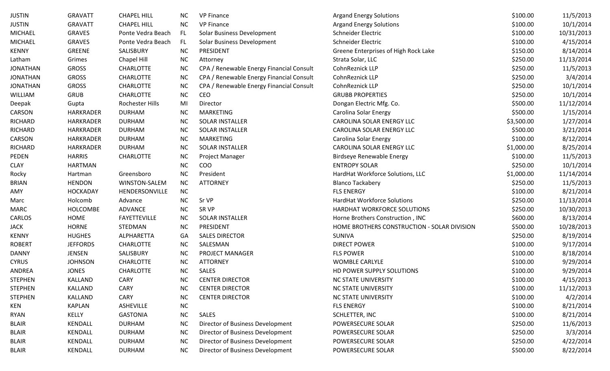| <b>JUSTIN</b>   | <b>GRAVATT</b>   | <b>CHAPEL HILL</b>  | <b>NC</b> | <b>VP Finance</b>                        | <b>Argand Energy Solutions</b>              | \$100.00   | 11/5/2013  |
|-----------------|------------------|---------------------|-----------|------------------------------------------|---------------------------------------------|------------|------------|
| <b>JUSTIN</b>   | <b>GRAVATT</b>   | <b>CHAPEL HILL</b>  | <b>NC</b> | <b>VP Finance</b>                        | <b>Argand Energy Solutions</b>              | \$100.00   | 10/1/2014  |
| <b>MICHAEL</b>  | <b>GRAVES</b>    | Ponte Vedra Beach   | FL.       | Solar Business Development               | Schneider Electric                          | \$100.00   | 10/31/2013 |
| <b>MICHAEL</b>  | <b>GRAVES</b>    | Ponte Vedra Beach   | FL.       | Solar Business Development               | Schneider Electric                          | \$100.00   | 4/15/2014  |
| <b>KENNY</b>    | GREENE           | SALISBURY           | NC        | PRESIDENT                                | Greene Enterprises of High Rock Lake        | \$150.00   | 8/14/2014  |
| Latham          | Grimes           | Chapel Hill         | NC        | Attorney                                 | Strata Solar, LLC                           | \$250.00   | 11/13/2014 |
| <b>JONATHAN</b> | <b>GROSS</b>     | <b>CHARLOTTE</b>    | NC        | CPA / Renewable Energy Financial Consult | CohnReznick LLP                             | \$250.00   | 11/5/2013  |
| <b>JONATHAN</b> | <b>GROSS</b>     | <b>CHARLOTTE</b>    | NC        | CPA / Renewable Energy Financial Consult | CohnReznick LLP                             | \$250.00   | 3/4/2014   |
| <b>JONATHAN</b> | <b>GROSS</b>     | <b>CHARLOTTE</b>    | NC        | CPA / Renewable Energy Financial Consult | CohnReznick LLP                             | \$250.00   | 10/1/2014  |
| WILLIAM         | <b>GRUB</b>      | <b>CHARLOTTE</b>    | NC        | CEO                                      | <b>GRUBB PROPERTIES</b>                     | \$250.00   | 10/1/2014  |
| Deepak          | Gupta            | Rochester Hills     | MI        | Director                                 | Dongan Electric Mfg. Co.                    | \$500.00   | 11/12/2014 |
| CARSON          | HARKRADER        | <b>DURHAM</b>       | NC        | <b>MARKETING</b>                         | Carolina Solar Energy                       | \$500.00   | 1/15/2014  |
| <b>RICHARD</b>  | HARKRADER        | <b>DURHAM</b>       | NC        | <b>SOLAR INSTALLER</b>                   | CAROLINA SOLAR ENERGY LLC                   | \$3,500.00 | 1/27/2014  |
| <b>RICHARD</b>  | <b>HARKRADER</b> | <b>DURHAM</b>       | <b>NC</b> | <b>SOLAR INSTALLER</b>                   | CAROLINA SOLAR ENERGY LLC                   | \$500.00   | 3/21/2014  |
| CARSON          | HARKRADER        | <b>DURHAM</b>       | NC        | <b>MARKETING</b>                         | Carolina Solar Energy                       | \$100.00   | 8/12/2014  |
| <b>RICHARD</b>  | <b>HARKRADER</b> | <b>DURHAM</b>       | NC        | <b>SOLAR INSTALLER</b>                   | CAROLINA SOLAR ENERGY LLC                   | \$1,000.00 | 8/25/2014  |
| PEDEN           | <b>HARRIS</b>    | <b>CHARLOTTE</b>    | NC        | <b>Project Manager</b>                   | <b>Birdseye Renewable Energy</b>            | \$100.00   | 11/5/2013  |
| <b>CLAY</b>     | <b>HARTMAN</b>   |                     | <b>NC</b> | COO                                      | <b>ENTROPY SOLAR</b>                        | \$250.00   | 10/1/2014  |
| Rocky           | Hartman          | Greensboro          | NC        | President                                | HardHat Workforce Solutions, LLC            | \$1,000.00 | 11/14/2014 |
| <b>BRIAN</b>    | <b>HENDON</b>    | WINSTON-SALEM       | <b>NC</b> | <b>ATTORNEY</b>                          | <b>Blanco Tackabery</b>                     | \$250.00   | 11/5/2013  |
| AMY             | <b>HOCKADAY</b>  | HENDERSONVILLE      | <b>NC</b> |                                          | <b>FLS ENERGY</b>                           | \$100.00   | 8/21/2014  |
| Marc            | Holcomb          | Advance             | NC        | Sr VP                                    | HardHat Workforce Solutions                 | \$250.00   | 11/13/2014 |
| <b>MARC</b>     | <b>HOLCOMBE</b>  | ADVANCE             | NC        | SR VP                                    | HARDHAT WORKFORCE SOLUTIONS                 | \$250.00   | 10/30/2013 |
| CARLOS          | HOME             | <b>FAYETTEVILLE</b> | NC        | <b>SOLAR INSTALLER</b>                   | Horne Brothers Construction, INC            | \$600.00   | 8/13/2014  |
| <b>JACK</b>     | <b>HORNE</b>     | STEDMAN             | NC        | PRESIDENT                                | HOME BROTHERS CONSTRUCTION - SOLAR DIVISION | \$500.00   | 10/28/2013 |
| <b>KENNY</b>    | <b>HUGHES</b>    | ALPHARETTA          | GA        | <b>SALES DIRECTOR</b>                    | <b>SUNIVA</b>                               | \$250.00   | 8/19/2014  |
| <b>ROBERT</b>   | <b>JEFFORDS</b>  | <b>CHARLOTTE</b>    | NC        | SALESMAN                                 | <b>DIRECT POWER</b>                         | \$100.00   | 9/17/2014  |
| <b>DANNY</b>    | <b>JENSEN</b>    | SALISBURY           | NC        | PROJECT MANAGER                          | <b>FLS POWER</b>                            | \$100.00   | 8/18/2014  |
| <b>CYRUS</b>    | <b>JOHNSON</b>   | <b>CHARLOTTE</b>    | NC        | <b>ATTORNEY</b>                          | <b>WOMBLE CARLYLE</b>                       | \$100.00   | 9/29/2014  |
| <b>ANDREA</b>   | <b>JONES</b>     | <b>CHARLOTTE</b>    | <b>NC</b> | SALES                                    | HD POWER SUPPLY SOLUTIONS                   | \$100.00   | 9/29/2014  |
| <b>STEPHEN</b>  | <b>KALLAND</b>   | <b>CARY</b>         | <b>NC</b> | <b>CENTER DIRECTOR</b>                   | <b>NC STATE UNIVERSITY</b>                  | \$100.00   | 4/15/2013  |
| <b>STEPHEN</b>  | <b>KALLAND</b>   | <b>CARY</b>         | <b>NC</b> | <b>CENTER DIRECTOR</b>                   | <b>NC STATE UNIVERSITY</b>                  | \$100.00   | 11/12/2013 |
| <b>STEPHEN</b>  | <b>KALLAND</b>   | <b>CARY</b>         | <b>NC</b> | <b>CENTER DIRECTOR</b>                   | <b>NC STATE UNIVERSITY</b>                  | \$100.00   | 4/2/2014   |
| KEN             | KAPLAN           | ASHEVILLE           | NC        |                                          | <b>FLS ENERGY</b>                           | \$100.00   | 8/21/2014  |
| <b>RYAN</b>     | KELLY            | <b>GASTONIA</b>     | NC        | SALES                                    | SCHLETTER, INC                              | \$100.00   | 8/21/2014  |
| <b>BLAIR</b>    | <b>KENDALL</b>   | <b>DURHAM</b>       | NC        | Director of Business Development         | POWERSECURE SOLAR                           | \$250.00   | 11/6/2013  |
| <b>BLAIR</b>    | <b>KENDALL</b>   | <b>DURHAM</b>       | NC        | Director of Business Development         | POWERSECURE SOLAR                           | \$250.00   | 3/3/2014   |
| <b>BLAIR</b>    | <b>KENDALL</b>   | <b>DURHAM</b>       | NC        | Director of Business Development         | POWERSECURE SOLAR                           | \$250.00   | 4/22/2014  |
| <b>BLAIR</b>    | KENDALL          | <b>DURHAM</b>       | <b>NC</b> | Director of Business Development         | POWERSECURE SOLAR                           | \$500.00   | 8/22/2014  |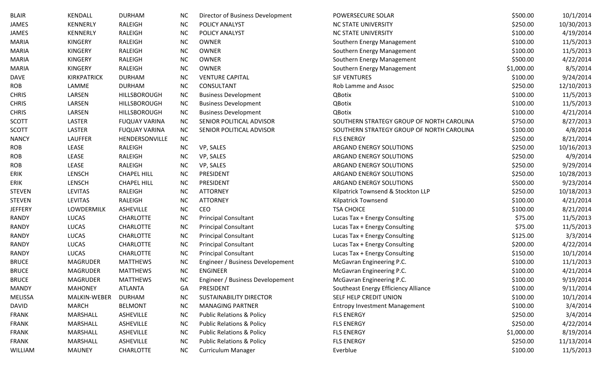| <b>BLAIR</b> | <b>KENDALL</b>      | <b>DURHAM</b>        | NC.       | Director of Business Development     | POWERSECURE SOLAR                         | \$500.00   | 10/1/2014  |
|--------------|---------------------|----------------------|-----------|--------------------------------------|-------------------------------------------|------------|------------|
| <b>JAMES</b> | <b>KENNERLY</b>     | RALEIGH              | <b>NC</b> | POLICY ANALYST                       | <b>NC STATE UNIVERSITY</b>                | \$250.00   | 10/30/2013 |
| JAMES        | KENNERLY            | RALEIGH              | <b>NC</b> | POLICY ANALYST                       | <b>NC STATE UNIVERSITY</b>                | \$100.00   | 4/19/2014  |
| MARIA        | <b>KINGERY</b>      | RALEIGH              | <b>NC</b> | <b>OWNER</b>                         | Southern Energy Management                | \$100.00   | 11/5/2013  |
| MARIA        | <b>KINGERY</b>      | RALEIGH              | <b>NC</b> | <b>OWNER</b>                         | Southern Energy Management                | \$100.00   | 11/5/2013  |
| MARIA        | <b>KINGERY</b>      | RALEIGH              | <b>NC</b> | <b>OWNER</b>                         | Southern Energy Management                | \$500.00   | 4/22/2014  |
| MARIA        | <b>KINGERY</b>      | RALEIGH              | <b>NC</b> | <b>OWNER</b>                         | Southern Energy Management                | \$1,000.00 | 8/5/2014   |
| DAVE         | <b>KIRKPATRICK</b>  | <b>DURHAM</b>        | <b>NC</b> | <b>VENTURE CAPITAL</b>               | <b>SJF VENTURES</b>                       | \$100.00   | 9/24/2014  |
| ROB          | LAMME               | <b>DURHAM</b>        | <b>NC</b> | CONSULTANT                           | Rob Lamme and Assoc                       | \$250.00   | 12/10/2013 |
| <b>CHRIS</b> | LARSEN              | <b>HILLSBOROUGH</b>  | <b>NC</b> | <b>Business Development</b>          | <b>QBotix</b>                             | \$100.00   | 11/5/2013  |
| <b>CHRIS</b> | LARSEN              | <b>HILLSBOROUGH</b>  | <b>NC</b> | <b>Business Development</b>          | QBotix                                    | \$100.00   | 11/5/2013  |
| <b>CHRIS</b> | LARSEN              | HILLSBOROUGH         | <b>NC</b> | <b>Business Development</b>          | QBotix                                    | \$100.00   | 4/21/2014  |
| SCOTT        | LASTER              | <b>FUQUAY VARINA</b> | <b>NC</b> | SENIOR POLITICAL ADVISOR             | SOUTHERN STRATEGY GROUP OF NORTH CAROLINA | \$750.00   | 8/27/2013  |
| SCOTT        | LASTER              | <b>FUQUAY VARINA</b> | <b>NC</b> | SENIOR POLITICAL ADVISOR             | SOUTHERN STRATEGY GROUP OF NORTH CAROLINA | \$100.00   | 4/8/2014   |
| <b>NANCY</b> | <b>LAUFFER</b>      | HENDERSONVILLE       | <b>NC</b> |                                      | <b>FLS ENERGY</b>                         | \$250.00   | 8/21/2014  |
| ROB          | LEASE               | RALEIGH              | <b>NC</b> | VP, SALES                            | ARGAND ENERGY SOLUTIONS                   | \$250.00   | 10/16/2013 |
| ROB          | LEASE               | RALEIGH              | <b>NC</b> | VP, SALES                            | ARGAND ENERGY SOLUTIONS                   | \$250.00   | 4/9/2014   |
| ROB          | LEASE               | RALEIGH              | <b>NC</b> | VP, SALES                            | ARGAND ENERGY SOLUTIONS                   | \$250.00   | 9/29/2014  |
| ERIK         | <b>LENSCH</b>       | <b>CHAPEL HILL</b>   | NC.       | PRESIDENT                            | ARGAND ENERGY SOLUTIONS                   | \$250.00   | 10/28/2013 |
| ERIK         | <b>LENSCH</b>       | <b>CHAPEL HILL</b>   | NC.       | PRESIDENT                            | ARGAND ENERGY SOLUTIONS                   | \$500.00   | 9/23/2014  |
| STEVEN       | <b>LEVITAS</b>      | RALEIGH              | <b>NC</b> | <b>ATTORNEY</b>                      | Kilpatrick Townsend & Stockton LLP        | \$250.00   | 10/18/2013 |
| STEVEN       | <b>LEVITAS</b>      | RALEIGH              | <b>NC</b> | <b>ATTORNEY</b>                      | Kilpatrick Townsend                       | \$100.00   | 4/21/2014  |
| JEFFERY      | LOWDERMILK          | ASHEVILLE            | <b>NC</b> | CEO                                  | <b>TSA CHOICE</b>                         | \$100.00   | 8/21/2014  |
| RANDY        | LUCAS               | <b>CHARLOTTE</b>     | <b>NC</b> | <b>Principal Consultant</b>          | Lucas Tax + Energy Consulting             | \$75.00    | 11/5/2013  |
| RANDY        | LUCAS               | <b>CHARLOTTE</b>     | <b>NC</b> | <b>Principal Consultant</b>          | Lucas Tax + Energy Consulting             | \$75.00    | 11/5/2013  |
| RANDY        | LUCAS               | <b>CHARLOTTE</b>     | <b>NC</b> | <b>Principal Consultant</b>          | Lucas Tax + Energy Consulting             | \$125.00   | 3/3/2014   |
| RANDY        | LUCAS               | <b>CHARLOTTE</b>     | <b>NC</b> | <b>Principal Consultant</b>          | Lucas Tax + Energy Consulting             | \$200.00   | 4/22/2014  |
| RANDY        | <b>LUCAS</b>        | <b>CHARLOTTE</b>     | <b>NC</b> | <b>Principal Consultant</b>          | Lucas Tax + Energy Consulting             | \$150.00   | 10/1/2014  |
| <b>BRUCE</b> | <b>MAGRUDER</b>     | <b>MATTHEWS</b>      | <b>NC</b> | Engineer / Business Developement     | McGavran Engineering P.C.                 | \$100.00   | 11/1/2013  |
| <b>BRUCE</b> | <b>MAGRUDER</b>     | <b>MATTHEWS</b>      | <b>NC</b> | <b>ENGINEER</b>                      | McGavran Engineering P.C.                 | \$100.00   | 4/21/2014  |
| <b>BRUCE</b> | <b>MAGRUDER</b>     | <b>MATTHEWS</b>      | <b>NC</b> | Engineer / Business Developement     | McGavran Engineering P.C.                 | \$100.00   | 9/19/2014  |
| MANDY        | <b>MAHONEY</b>      | <b>ATLANTA</b>       | GA        | PRESIDENT                            | Southeast Energy Efficiency Alliance      | \$100.00   | 9/11/2014  |
| MELISSA      | <b>MALKIN-WEBER</b> | <b>DURHAM</b>        | <b>NC</b> | SUSTAINABILITY DIRECTOR              | SELF HELP CREDIT UNION                    | \$100.00   | 10/1/2014  |
| DAVID        | <b>MARCH</b>        | <b>BELMONT</b>       | <b>NC</b> | <b>MANAGING PARTNER</b>              | <b>Entropy Investment Management</b>      | \$100.00   | 3/4/2014   |
| FRANK        | MARSHALL            | ASHEVILLE            | <b>NC</b> | <b>Public Relations &amp; Policy</b> | <b>FLS ENERGY</b>                         | \$250.00   | 3/4/2014   |
| FRANK        | MARSHALL            | ASHEVILLE            | <b>NC</b> | <b>Public Relations &amp; Policy</b> | <b>FLS ENERGY</b>                         | \$250.00   | 4/22/2014  |
| FRANK        | MARSHALL            | ASHEVILLE            | <b>NC</b> | <b>Public Relations &amp; Policy</b> | <b>FLS ENERGY</b>                         | \$1,000.00 | 8/19/2014  |
| FRANK        | MARSHALL            | ASHEVILLE            | <b>NC</b> | <b>Public Relations &amp; Policy</b> | <b>FLS ENERGY</b>                         | \$250.00   | 11/13/2014 |
| WILLIAM      | <b>MAUNEY</b>       | <b>CHARLOTTE</b>     | NC        | <b>Curriculum Manager</b>            | Everblue                                  | \$100.00   | 11/5/2013  |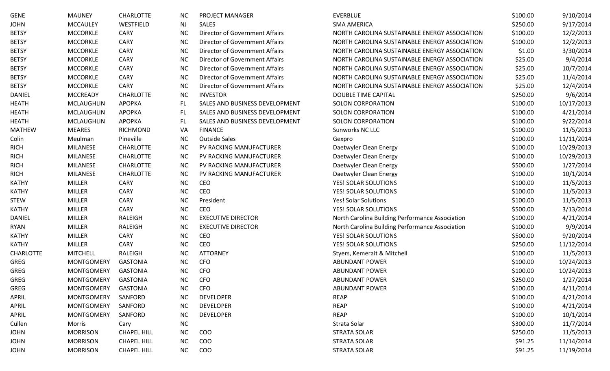| <b>GENE</b>      | <b>MAUNEY</b>     | <b>CHARLOTTE</b>   | NC.       | PROJECT MANAGER                       | <b>EVERBLUE</b>                                 | \$100.00 | 9/10/2014  |
|------------------|-------------------|--------------------|-----------|---------------------------------------|-------------------------------------------------|----------|------------|
| JOHN             | <b>MCCAULEY</b>   | WESTFIELD          | <b>NJ</b> | <b>SALES</b>                          | <b>SMA AMERICA</b>                              | \$250.00 | 9/17/2014  |
| <b>BETSY</b>     | <b>MCCORKLE</b>   | <b>CARY</b>        | <b>NC</b> | Director of Government Affairs        | NORTH CAROLINA SUSTAINABLE ENERGY ASSOCIATION   | \$100.00 | 12/2/2013  |
| <b>BETSY</b>     | <b>MCCORKLE</b>   | <b>CARY</b>        | <b>NC</b> | <b>Director of Government Affairs</b> | NORTH CAROLINA SUSTAINABLE ENERGY ASSOCIATION   | \$100.00 | 12/2/2013  |
| <b>BETSY</b>     | <b>MCCORKLE</b>   | <b>CARY</b>        | <b>NC</b> | <b>Director of Government Affairs</b> | NORTH CAROLINA SUSTAINABLE ENERGY ASSOCIATION   | \$1.00   | 3/30/2014  |
| <b>BETSY</b>     | <b>MCCORKLE</b>   | <b>CARY</b>        | <b>NC</b> | <b>Director of Government Affairs</b> | NORTH CAROLINA SUSTAINABLE ENERGY ASSOCIATION   | \$25.00  | 9/4/2014   |
| <b>BETSY</b>     | <b>MCCORKLE</b>   | <b>CARY</b>        | <b>NC</b> | <b>Director of Government Affairs</b> | NORTH CAROLINA SUSTAINABLE ENERGY ASSOCIATION   | \$25.00  | 10/7/2014  |
| <b>BETSY</b>     | <b>MCCORKLE</b>   | <b>CARY</b>        | <b>NC</b> | Director of Government Affairs        | NORTH CAROLINA SUSTAINABLE ENERGY ASSOCIATION   | \$25.00  | 11/4/2014  |
| <b>BETSY</b>     | <b>MCCORKLE</b>   | <b>CARY</b>        | <b>NC</b> | Director of Government Affairs        | NORTH CAROLINA SUSTAINABLE ENERGY ASSOCIATION   | \$25.00  | 12/4/2014  |
| <b>DANIEL</b>    | <b>MCCREADY</b>   | <b>CHARLOTTE</b>   | <b>NC</b> | <b>INVESTOR</b>                       | <b>DOUBLE TIME CAPITAL</b>                      | \$250.00 | 9/6/2014   |
| <b>HEATH</b>     | <b>MCLAUGHLIN</b> | APOPKA             | FL.       | SALES AND BUSINESS DEVELOPMENT        | <b>SOLON CORPORATION</b>                        | \$100.00 | 10/17/2013 |
| <b>HEATH</b>     | <b>MCLAUGHLIN</b> | APOPKA             | FL.       | SALES AND BUSINESS DEVELOPMENT        | <b>SOLON CORPORATION</b>                        | \$100.00 | 4/21/2014  |
| <b>HEATH</b>     | <b>MCLAUGHLIN</b> | APOPKA             | FL        | SALES AND BUSINESS DEVELOPMENT        | <b>SOLON CORPORATION</b>                        | \$100.00 | 9/22/2014  |
| <b>MATHEW</b>    | <b>MEARES</b>     | <b>RICHMOND</b>    | VA        | <b>FINANCE</b>                        | Sunworks NC LLC                                 | \$100.00 | 11/5/2013  |
| Colin            | Meulman           | Pineville          | <b>NC</b> | <b>Outside Sales</b>                  | Gexpro                                          | \$100.00 | 11/11/2014 |
| <b>RICH</b>      | <b>MILANESE</b>   | <b>CHARLOTTE</b>   | <b>NC</b> | PV RACKING MANUFACTURER               | Daetwyler Clean Energy                          | \$100.00 | 10/29/2013 |
| <b>RICH</b>      | MILANESE          | <b>CHARLOTTE</b>   | <b>NC</b> | PV RACKING MANUFACTURER               | Daetwyler Clean Energy                          | \$100.00 | 10/29/2013 |
| <b>RICH</b>      | <b>MILANESE</b>   | <b>CHARLOTTE</b>   | <b>NC</b> | PV RACKING MANUFACTURER               | Daetwyler Clean Energy                          | \$500.00 | 1/27/2014  |
| <b>RICH</b>      | <b>MILANESE</b>   | <b>CHARLOTTE</b>   | <b>NC</b> | PV RACKING MANUFACTURER               | Daetwyler Clean Energy                          | \$100.00 | 10/1/2014  |
| <b>KATHY</b>     | <b>MILLER</b>     | <b>CARY</b>        | <b>NC</b> | CEO                                   | YES! SOLAR SOLUTIONS                            | \$100.00 | 11/5/2013  |
| <b>KATHY</b>     | <b>MILLER</b>     | <b>CARY</b>        | <b>NC</b> | CEO                                   | YES! SOLAR SOLUTIONS                            | \$100.00 | 11/5/2013  |
| <b>STEW</b>      | <b>MILLER</b>     | <b>CARY</b>        | <b>NC</b> | President                             | Yes! Solar Solutions                            | \$100.00 | 11/5/2013  |
| <b>KATHY</b>     | <b>MILLER</b>     | <b>CARY</b>        | <b>NC</b> | CEO                                   | YES! SOLAR SOLUTIONS                            | \$500.00 | 3/13/2014  |
| <b>DANIEL</b>    | <b>MILLER</b>     | RALEIGH            | <b>NC</b> | <b>EXECUTIVE DIRECTOR</b>             | North Carolina Building Performance Association | \$100.00 | 4/21/2014  |
| <b>RYAN</b>      | <b>MILLER</b>     | RALEIGH            | <b>NC</b> | <b>EXECUTIVE DIRECTOR</b>             | North Carolina Building Performance Association | \$100.00 | 9/9/2014   |
| <b>KATHY</b>     | <b>MILLER</b>     | <b>CARY</b>        | <b>NC</b> | CEO                                   | YES! SOLAR SOLUTIONS                            | \$500.00 | 9/20/2014  |
| <b>KATHY</b>     | <b>MILLER</b>     | <b>CARY</b>        | <b>NC</b> | CEO                                   | YES! SOLAR SOLUTIONS                            | \$250.00 | 11/12/2014 |
| <b>CHARLOTTE</b> | <b>MITCHELL</b>   | RALEIGH            | <b>NC</b> | <b>ATTORNEY</b>                       | Styers, Kemerait & Mitchell                     | \$100.00 | 11/5/2013  |
| <b>GREG</b>      | <b>MONTGOMERY</b> | <b>GASTONIA</b>    | <b>NC</b> | <b>CFO</b>                            | <b>ABUNDANT POWER</b>                           | \$100.00 | 10/24/2013 |
| GREG             | <b>MONTGOMERY</b> | <b>GASTONIA</b>    | NC        | <b>CFO</b>                            | <b>ABUNDANT POWER</b>                           | \$100.00 | 10/24/2013 |
| <b>GREG</b>      | <b>MONTGOMERY</b> | <b>GASTONIA</b>    | <b>NC</b> | <b>CFO</b>                            | <b>ABUNDANT POWER</b>                           | \$250.00 | 1/27/2014  |
| <b>GREG</b>      | <b>MONTGOMERY</b> | <b>GASTONIA</b>    | NC.       | <b>CFO</b>                            | <b>ABUNDANT POWER</b>                           | \$100.00 | 4/11/2014  |
| APRIL            | <b>MONTGOMERY</b> | SANFORD            | NC        | <b>DEVELOPER</b>                      | <b>REAP</b>                                     | \$100.00 | 4/21/2014  |
| APRIL            | <b>MONTGOMERY</b> | SANFORD            | <b>NC</b> | <b>DEVELOPER</b>                      | <b>REAP</b>                                     | \$100.00 | 4/21/2014  |
| APRIL            | <b>MONTGOMERY</b> | SANFORD            | NC        | <b>DEVELOPER</b>                      | <b>REAP</b>                                     | \$100.00 | 10/1/2014  |
| Cullen           | Morris            | Cary               | <b>NC</b> |                                       | Strata Solar                                    | \$300.00 | 11/7/2014  |
| <b>JOHN</b>      | <b>MORRISON</b>   | <b>CHAPEL HILL</b> | <b>NC</b> | COO                                   | <b>STRATA SOLAR</b>                             | \$250.00 | 11/5/2013  |
| <b>JOHN</b>      | <b>MORRISON</b>   | <b>CHAPEL HILL</b> | <b>NC</b> | <b>COO</b>                            | <b>STRATA SOLAR</b>                             | \$91.25  | 11/14/2014 |
| <b>JOHN</b>      | <b>MORRISON</b>   | <b>CHAPEL HILL</b> | <b>NC</b> | COO                                   | <b>STRATA SOLAR</b>                             | \$91.25  | 11/19/2014 |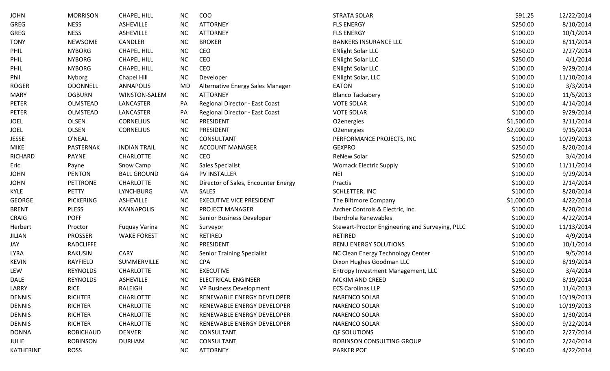| JOHN          | <b>MORRISON</b>  | <b>CHAPEL HILL</b>   | NC.       | COO                                 | <b>STRATA SOLAR</b>                             | \$91.25    | 12/22/2014 |
|---------------|------------------|----------------------|-----------|-------------------------------------|-------------------------------------------------|------------|------------|
| GREG          | <b>NESS</b>      | <b>ASHEVILLE</b>     | <b>NC</b> | <b>ATTORNEY</b>                     | <b>FLS ENERGY</b>                               | \$250.00   | 8/10/2014  |
| GREG          | <b>NESS</b>      | ASHEVILLE            | <b>NC</b> | <b>ATTORNEY</b>                     | <b>FLS ENERGY</b>                               | \$100.00   | 10/1/2014  |
| <b>TONY</b>   | <b>NEWSOME</b>   | CANDLER              | <b>NC</b> | <b>BROKER</b>                       | <b>BANKERS INSURANCE LLC</b>                    | \$100.00   | 8/11/2014  |
| PHIL          | <b>NYBORG</b>    | <b>CHAPEL HILL</b>   | <b>NC</b> | CEO                                 | <b>ENlight Solar LLC</b>                        | \$250.00   | 2/27/2014  |
| PHIL          | <b>NYBORG</b>    | <b>CHAPEL HILL</b>   | <b>NC</b> | CEO                                 | <b>ENlight Solar LLC</b>                        | \$250.00   | 4/1/2014   |
| PHIL          | <b>NYBORG</b>    | <b>CHAPEL HILL</b>   | <b>NC</b> | CEO                                 | <b>ENlight Solar LLC</b>                        | \$100.00   | 9/29/2014  |
| Phil          | Nyborg           | Chapel Hill          | <b>NC</b> | Developer                           | <b>ENlight Solar, LLC</b>                       | \$100.00   | 11/10/2014 |
| ROGER         | <b>ODONNELL</b>  | <b>ANNAPOLIS</b>     | <b>MD</b> | Alternative Energy Sales Manager    | <b>EATON</b>                                    | \$100.00   | 3/3/2014   |
| MARY          | <b>OGBURN</b>    | WINSTON-SALEM        | NC        | <b>ATTORNEY</b>                     | <b>Blanco Tackabery</b>                         | \$100.00   | 11/5/2013  |
| PETER         | OLMSTEAD         | LANCASTER            | PA        | Regional Director - East Coast      | <b>VOTE SOLAR</b>                               | \$100.00   | 4/14/2014  |
| PETER         | OLMSTEAD         | LANCASTER            | PA        | Regional Director - East Coast      | <b>VOTE SOLAR</b>                               | \$100.00   | 9/29/2014  |
| JOEL          | <b>OLSEN</b>     | <b>CORNELIUS</b>     | <b>NC</b> | PRESIDENT                           | O <sub>2</sub> energies                         | \$1,500.00 | 3/11/2014  |
| JOEL          | <b>OLSEN</b>     | <b>CORNELIUS</b>     | <b>NC</b> | PRESIDENT                           | O2energies                                      | \$2,000.00 | 9/15/2014  |
| JESSE         | O'NEAL           |                      | <b>NC</b> | CONSULTANT                          | PERFORMANCE PROJECTS, INC                       | \$100.00   | 10/29/2013 |
| MIKE          | PASTERNAK        | <b>INDIAN TRAIL</b>  | <b>NC</b> | <b>ACCOUNT MANAGER</b>              | <b>GEXPRO</b>                                   | \$250.00   | 8/20/2014  |
| RICHARD       | <b>PAYNE</b>     | <b>CHARLOTTE</b>     | <b>NC</b> | CEO                                 | <b>ReNew Solar</b>                              | \$250.00   | 3/4/2014   |
| Eric          | Payne            | Snow Camp            | <b>NC</b> | Sales Specialist                    | <b>Womack Electric Supply</b>                   | \$100.00   | 11/11/2014 |
| JOHN          | <b>PENTON</b>    | <b>BALL GROUND</b>   | GA        | PV INSTALLER                        | <b>NEI</b>                                      | \$100.00   | 9/29/2014  |
| JOHN          | PETTRONE         | <b>CHARLOTTE</b>     | NC.       | Director of Sales, Encounter Energy | Practis                                         | \$100.00   | 2/14/2014  |
| KYLE          | <b>PETTY</b>     | <b>LYNCHBURG</b>     | VA        | <b>SALES</b>                        | SCHLETTER, INC                                  | \$100.00   | 8/20/2014  |
| GEORGE        | <b>PICKERING</b> | ASHEVILLE            | <b>NC</b> | <b>EXECUTIVE VICE PRESIDENT</b>     | The Biltmore Company                            | \$1,000.00 | 4/22/2014  |
| <b>BRENT</b>  | <b>PLESS</b>     | <b>KANNAPOLIS</b>    | <b>NC</b> | PROJECT MANAGER                     | Archer Controls & Electric, Inc.                | \$100.00   | 8/20/2014  |
| CRAIG         | <b>POFF</b>      |                      | <b>NC</b> | Senior Business Developer           | Iberdrola Renewables                            | \$100.00   | 4/22/2014  |
| Herbert       | Proctor          | <b>Fuquay Varina</b> | <b>NC</b> | Surveyor                            | Stewart-Proctor Engineering and Surveying, PLLC | \$100.00   | 11/13/2014 |
| JILIAN        | <b>PROSSER</b>   | <b>WAKE FOREST</b>   | <b>NC</b> | <b>RETIRED</b>                      | RETIRED                                         | \$100.00   | 4/9/2014   |
| JAY           | <b>RADCLIFFE</b> |                      | <b>NC</b> | PRESIDENT                           | <b>RENU ENERGY SOLUTIONS</b>                    | \$100.00   | 10/1/2014  |
| LYRA          | <b>RAKUSIN</b>   | <b>CARY</b>          | <b>NC</b> | <b>Senior Training Specialist</b>   | NC Clean Energy Technology Center               | \$100.00   | 9/5/2014   |
| KEVIN         | RAYFIELD         | SUMMERVILLE          | <b>NC</b> | <b>CPA</b>                          | Dixon Hughes Goodman LLC                        | \$100.00   | 8/19/2014  |
| LEW           | <b>REYNOLDS</b>  | <b>CHARLOTTE</b>     | <b>NC</b> | <b>EXECUTIVE</b>                    | Entropy Investment Management, LLC              | \$250.00   | 3/4/2014   |
| DALE          | <b>REYNOLDS</b>  | <b>ASHEVILLE</b>     | <b>NC</b> | <b>ELECTRICAL ENGINEER</b>          | <b>MCKIM AND CREED</b>                          | \$100.00   | 8/19/2014  |
| LARRY         | <b>RICE</b>      | RALEIGH              | NC.       | VP Business Development             | <b>ECS Carolinas LLP</b>                        | \$250.00   | 11/4/2013  |
| <b>DENNIS</b> | <b>RICHTER</b>   | <b>CHARLOTTE</b>     | <b>NC</b> | RENEWABLE ENERGY DEVELOPER          | <b>NARENCO SOLAR</b>                            | \$100.00   | 10/19/2013 |
| <b>DENNIS</b> | <b>RICHTER</b>   | <b>CHARLOTTE</b>     | NC        | RENEWABLE ENERGY DEVELOPER          | <b>NARENCO SOLAR</b>                            | \$100.00   | 10/19/2013 |
| <b>DENNIS</b> | <b>RICHTER</b>   | <b>CHARLOTTE</b>     | <b>NC</b> | RENEWABLE ENERGY DEVELOPER          | NARENCO SOLAR                                   | \$500.00   | 1/30/2014  |
| <b>DENNIS</b> | <b>RICHTER</b>   | <b>CHARLOTTE</b>     | NC        | RENEWABLE ENERGY DEVELOPER          | <b>NARENCO SOLAR</b>                            | \$500.00   | 9/22/2014  |
| DONNA         | <b>ROBICHAUD</b> | <b>DENVER</b>        | <b>NC</b> | CONSULTANT                          | <b>QF SOLUTIONS</b>                             | \$100.00   | 2/27/2014  |
| JULIE         | <b>ROBINSON</b>  | <b>DURHAM</b>        | <b>NC</b> | CONSULTANT                          | ROBINSON CONSULTING GROUP                       | \$100.00   | 2/24/2014  |
| KATHERINE     | <b>ROSS</b>      |                      | <b>NC</b> | <b>ATTORNEY</b>                     | <b>PARKER POE</b>                               | \$100.00   | 4/22/2014  |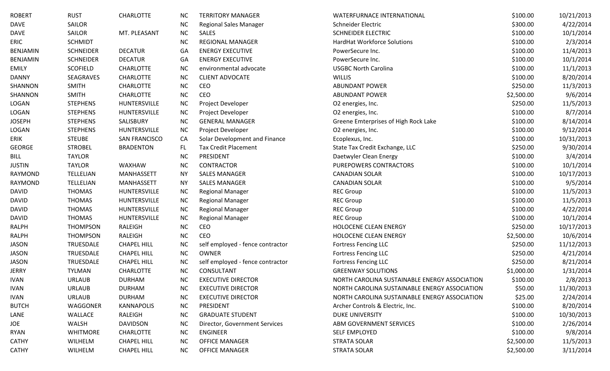| <b>ROBERT</b>   | <b>RUST</b>      | <b>CHARLOTTE</b>     | <b>NC</b> | <b>TERRITORY MANAGER</b>         | WATERFURNACE INTERNATIONAL                    | \$100.00   | 10/21/2013 |
|-----------------|------------------|----------------------|-----------|----------------------------------|-----------------------------------------------|------------|------------|
| <b>DAVE</b>     | <b>SAILOR</b>    |                      | <b>NC</b> | <b>Regional Sales Manager</b>    | Schneider Electric                            | \$300.00   | 4/22/2014  |
| <b>DAVE</b>     | SAILOR           | MT. PLEASANT         | <b>NC</b> | SALES                            | <b>SCHNEIDER ELECTRIC</b>                     | \$100.00   | 10/1/2014  |
| ERIC            | <b>SCHMIDT</b>   |                      | <b>NC</b> | <b>REGIONAL MANAGER</b>          | <b>HardHat Workforce Solutions</b>            | \$100.00   | 2/3/2014   |
| <b>BENJAMIN</b> | <b>SCHNEIDER</b> | <b>DECATUR</b>       | GA        | <b>ENERGY EXECUTIVE</b>          | PowerSecure Inc.                              | \$100.00   | 11/4/2013  |
| BENJAMIN        | <b>SCHNEIDER</b> | <b>DECATUR</b>       | GA        | <b>ENERGY EXECUTIVE</b>          | PowerSecure Inc.                              | \$100.00   | 10/1/2014  |
| <b>EMILY</b>    | <b>SCOFIELD</b>  | <b>CHARLOTTE</b>     | <b>NC</b> | environmental advocate           | <b>USGBC North Carolina</b>                   | \$100.00   | 11/1/2013  |
| <b>DANNY</b>    | SEAGRAVES        | <b>CHARLOTTE</b>     | <b>NC</b> | <b>CLIENT ADVOCATE</b>           | <b>WILLIS</b>                                 | \$100.00   | 8/20/2014  |
| SHANNON         | <b>SMITH</b>     | <b>CHARLOTTE</b>     | NC        | CEO                              | <b>ABUNDANT POWER</b>                         | \$250.00   | 11/3/2013  |
| SHANNON         | <b>SMITH</b>     | <b>CHARLOTTE</b>     | NC        | CEO                              | <b>ABUNDANT POWER</b>                         | \$2,500.00 | 9/6/2014   |
| LOGAN           | <b>STEPHENS</b>  | HUNTERSVILLE         | <b>NC</b> | Project Developer                | O2 energies, Inc.                             | \$250.00   | 11/5/2013  |
| LOGAN           | <b>STEPHENS</b>  | HUNTERSVILLE         | <b>NC</b> | Project Developer                | O2 energies, Inc.                             | \$100.00   | 8/7/2014   |
| <b>JOSEPH</b>   | <b>STEPHENS</b>  | SALISBURY            | <b>NC</b> | <b>GENERAL MANAGER</b>           | Greene Emterprises of High Rock Lake          | \$100.00   | 8/14/2014  |
| LOGAN           | <b>STEPHENS</b>  | HUNTERSVILLE         | <b>NC</b> | Project Developer                | O2 energies, Inc.                             | \$100.00   | 9/12/2014  |
| <b>ERIK</b>     | <b>STEUBE</b>    | <b>SAN FRANCISCO</b> | CA        | Solar Development and Finance    | Ecoplexus, Inc.                               | \$100.00   | 10/31/2013 |
| <b>GEORGE</b>   | <b>STROBEL</b>   | <b>BRADENTON</b>     | FL.       | <b>Tax Credit Placement</b>      | State Tax Credit Exchange, LLC                | \$250.00   | 9/30/2014  |
| <b>BILL</b>     | <b>TAYLOR</b>    |                      | <b>NC</b> | PRESIDENT                        | Daetwyler Clean Energy                        | \$100.00   | 3/4/2014   |
| <b>JUSTIN</b>   | <b>TAYLOR</b>    | WAXHAW               | <b>NC</b> | <b>CONTRACTOR</b>                | PUREPOWERS CONTRACTORS                        | \$100.00   | 10/1/2014  |
| RAYMOND         | TELLELIAN        | MANHASSETT           | <b>NY</b> | <b>SALES MANAGER</b>             | <b>CANADIAN SOLAR</b>                         | \$100.00   | 10/17/2013 |
| RAYMOND         | TELLELIAN        | <b>MANHASSETT</b>    | <b>NY</b> | <b>SALES MANAGER</b>             | <b>CANADIAN SOLAR</b>                         | \$100.00   | 9/5/2014   |
| <b>DAVID</b>    | <b>THOMAS</b>    | HUNTERSVILLE         | <b>NC</b> | <b>Regional Manager</b>          | <b>REC Group</b>                              | \$100.00   | 11/5/2013  |
| <b>DAVID</b>    | <b>THOMAS</b>    | HUNTERSVILLE         | <b>NC</b> | <b>Regional Manager</b>          | <b>REC Group</b>                              | \$100.00   | 11/5/2013  |
| <b>DAVID</b>    | <b>THOMAS</b>    | HUNTERSVILLE         | <b>NC</b> | <b>Regional Manager</b>          | <b>REC Group</b>                              | \$100.00   | 4/22/2014  |
| <b>DAVID</b>    | <b>THOMAS</b>    | HUNTERSVILLE         | <b>NC</b> | <b>Regional Manager</b>          | <b>REC Group</b>                              | \$100.00   | 10/1/2014  |
| <b>RALPH</b>    | <b>THOMPSON</b>  | RALEIGH              | NC        | CEO                              | HOLOCENE CLEAN ENERGY                         | \$250.00   | 10/17/2013 |
| <b>RALPH</b>    | <b>THOMPSON</b>  | RALEIGH              | <b>NC</b> | CEO                              | HOLOCENE CLEAN ENERGY                         | \$2,500.00 | 10/6/2014  |
| <b>JASON</b>    | TRUESDALE        | <b>CHAPEL HILL</b>   | <b>NC</b> | self employed - fence contractor | <b>Fortress Fencing LLC</b>                   | \$250.00   | 11/12/2013 |
| <b>JASON</b>    | TRUESDALE        | <b>CHAPEL HILL</b>   | <b>NC</b> | <b>OWNER</b>                     | <b>Fortress Fencing LLC</b>                   | \$250.00   | 4/21/2014  |
| <b>JASON</b>    | TRUESDALE        | <b>CHAPEL HILL</b>   | <b>NC</b> | self employed - fence contractor | <b>Fortress Fencing LLC</b>                   | \$250.00   | 8/21/2014  |
| <b>JERRY</b>    | <b>TYLMAN</b>    | <b>CHARLOTTE</b>     | <b>NC</b> | CONSULTANT                       | <b>GREENWAY SOLUTIONS</b>                     | \$1,000.00 | 1/31/2014  |
| <b>IVAN</b>     | <b>URLAUB</b>    | <b>DURHAM</b>        | <b>NC</b> | <b>EXECUTIVE DIRECTOR</b>        | NORTH CAROLINA SUSTAINABLE ENERGY ASSOCIATION | \$100.00   | 2/8/2013   |
| <b>IVAN</b>     | <b>URLAUB</b>    | <b>DURHAM</b>        | <b>NC</b> | <b>EXECUTIVE DIRECTOR</b>        | NORTH CAROLINA SUSTAINABLE ENERGY ASSOCIATION | \$50.00    | 11/30/2013 |
| <b>IVAN</b>     | <b>URLAUB</b>    | <b>DURHAM</b>        | <b>NC</b> | <b>EXECUTIVE DIRECTOR</b>        | NORTH CAROLINA SUSTAINABLE ENERGY ASSOCIATION | \$25.00    | 2/24/2014  |
| <b>BUTCH</b>    | WAGGONER         | <b>KANNAPOLIS</b>    | NC        | PRESIDENT                        | Archer Controls & Electric, Inc.              | \$100.00   | 8/20/2014  |
| LANE            | WALLACE          | RALEIGH              | NC        | <b>GRADUATE STUDENT</b>          | DUKE UNIVERSITY                               | \$100.00   | 10/30/2013 |
| JOE             | WALSH            | DAVIDSON             | NC        | Director, Government Services    | ABM GOVERNMENT SERVICES                       | \$100.00   | 2/26/2014  |
| RYAN            | <b>WHITMORE</b>  | <b>CHARLOTTE</b>     | <b>NC</b> | <b>ENGINEER</b>                  | <b>SELF EMPLOYED</b>                          | \$100.00   | 9/8/2014   |
| <b>CATHY</b>    | WILHELM          | <b>CHAPEL HILL</b>   | <b>NC</b> | <b>OFFICE MANAGER</b>            | <b>STRATA SOLAR</b>                           | \$2,500.00 | 11/5/2013  |
| <b>CATHY</b>    | WILHELM          | <b>CHAPEL HILL</b>   | <b>NC</b> | <b>OFFICE MANAGER</b>            | <b>STRATA SOLAR</b>                           | \$2,500.00 | 3/11/2014  |